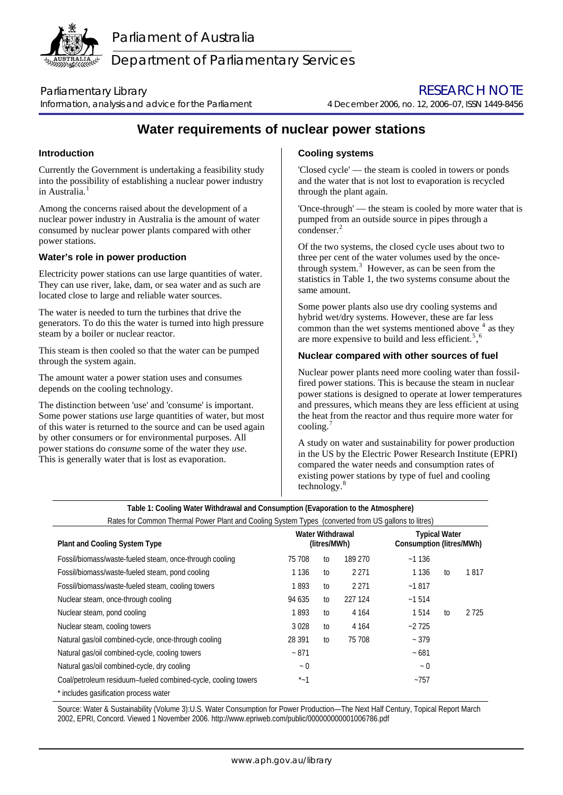

Department of Parliamentary Services

Information, analysis and advice for the Parliament4 December 2006, no. 12, 2006–07, ISSN 1449-8456

Parliamentary Library **Example 2018** 2019 12:30 NOTE RESEARCH NOTE

# **Water requirements of nuclear power stations**

# **Introduction**

Currently the Government is undertaking a feasibility study into the possibility of establishing a nuclear power industry in Australia.<sup>[1](#page-1-0)</sup>

Among the concerns raised about the development of a nuclear power industry in Australia is the amount of water consumed by nuclear power plants compared with other power stations.

### **Water's role in power production**

Electricity power stations can use large quantities of water. They can use river, lake, dam, or sea water and as such are located close to large and reliable water sources.

The water is needed to turn the turbines that drive the generators. To do this the water is turned into high pressure steam by a boiler or nuclear reactor.

This steam is then cooled so that the water can be pumped through the system again.

The amount water a power station uses and consumes depends on the cooling technology.

The distinction between 'use' and 'consume' is important. Some power stations *use* large quantities of water, but most of this water is returned to the source and can be used again by other consumers or for environmental purposes. All power stations do *consume* some of the water they *use*. This is generally water that is lost as evaporation.

# **Cooling systems**

'Closed cycle' — the steam is cooled in towers or ponds and the water that is not lost to evaporation is recycled through the plant again.

'Once-through' — the steam is cooled by more water that is pumped from an outside source in pipes through a condenser.<sup>[2](#page-1-1)</sup>

Of the two systems, the closed cycle uses about two to three per cent of the water volumes used by the oncethrough system. $3$  However, as can be seen from the statistics in Table 1, the two systems consume about the same amount.

Some power plants also use dry cooling systems and hybrid wet/dry systems. However, these are far less common than the wet systems mentioned above  $4$  as they are more expensive to build and less efficient.<sup>[5](#page-1-1)</sup>,<sup>[6](#page-1-1)</sup>

## **Nuclear compared with other sources of fuel**

Nuclear power plants need more cooling water than fossilfired power stations. This is because the steam in nuclear power stations is designed to operate at lower temperatures and pressures, which means they are less efficient at using the heat from the reactor and thus require more water for cooling. $<sup>7</sup>$  $<sup>7</sup>$  $<sup>7</sup>$ </sup>

A study on water and sustainability for power production in the US by the Electric Power Research Institute (EPRI) compared the water needs and consumption rates of existing power stations by type of fuel and cooling technology.[8](#page-1-1)

| Table 1: Cooling Water Withdrawal and Consumption (Evaporation to the Atmosphere)                   |                                  |    |                                                  |           |    |         |
|-----------------------------------------------------------------------------------------------------|----------------------------------|----|--------------------------------------------------|-----------|----|---------|
| Rates for Common Thermal Power Plant and Cooling System Types (converted from US gallons to litres) |                                  |    |                                                  |           |    |         |
| <b>Plant and Cooling System Type</b>                                                                | Water Withdrawal<br>(litres/MWh) |    | <b>Typical Water</b><br>Consumption (litres/MWh) |           |    |         |
| Fossil/biomass/waste-fueled steam, once-through cooling                                             | 75 708                           | to | 189 270                                          | ~1136     |    |         |
| Fossil/biomass/waste-fueled steam, pond cooling                                                     | 1 1 3 6                          | to | 2 2 7 1                                          | 1 1 3 6   | to | 1817    |
| Fossil/biomass/waste-fueled steam, cooling towers                                                   | 1893                             | to | 2 2 7 1                                          | $-1817$   |    |         |
| Nuclear steam, once-through cooling                                                                 | 94 635                           | to | 227 124                                          | ~1514     |    |         |
| Nuclear steam, pond cooling                                                                         | 1893                             | to | 4 1 6 4                                          | 1514      | to | 2 7 2 5 |
| Nuclear steam, cooling towers                                                                       | 3028                             | to | 4 1 6 4                                          | $-2725$   |    |         |
| Natural gas/oil combined-cycle, once-through cooling                                                | 28 391                           | to | 75 708                                           | ~1.379    |    |         |
| Natural gas/oil combined-cycle, cooling towers                                                      | $~1$ 871                         |    |                                                  | ~5681     |    |         |
| Natural gas/oil combined-cycle, dry cooling                                                         | ~1                               |    |                                                  | ~1        |    |         |
| Coal/petroleum residuum-fueled combined-cycle, cooling towers                                       | $^*$ ~ 1                         |    |                                                  | $~1$ -757 |    |         |
| * includes gasification process water                                                               |                                  |    |                                                  |           |    |         |

Source: Water & Sustainability (Volume 3):U.S. Water Consumption for Power Production—The Next Half Century, Topical Report March 2002, EPRI, Concord. Viewed 1 November 2006. http://www.epriweb.com/public/000000000001006786.pdf